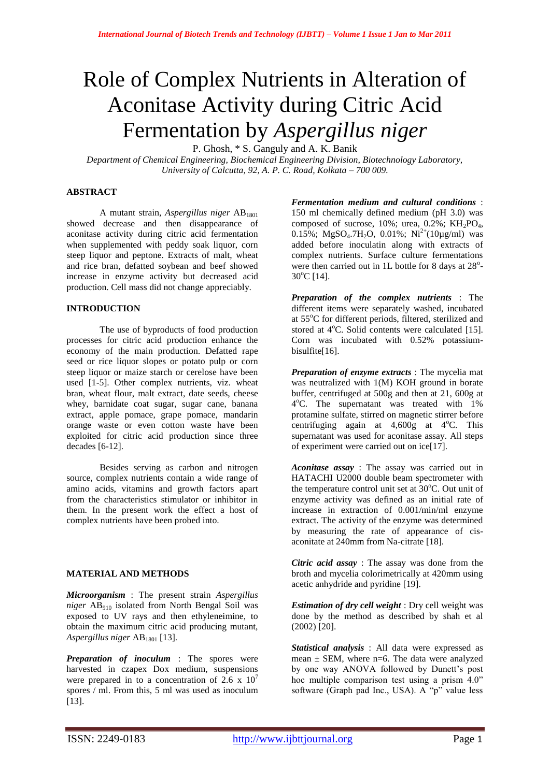# Role of Complex Nutrients in Alteration of Aconitase Activity during Citric Acid Fermentation by *Aspergillus niger*

P. Ghosh, \* S. Ganguly and A. K. Banik

*Department of Chemical Engineering, Biochemical Engineering Division, Biotechnology Laboratory, University of Calcutta, 92, A. P. C. Road, Kolkata – 700 009.*

## **ABSTRACT**

A mutant strain, *Aspergillus niger* AB<sup>1801</sup> showed decrease and then disappearance of aconitase activity during citric acid fermentation when supplemented with peddy soak liquor, corn steep liquor and peptone. Extracts of malt, wheat and rice bran, defatted soybean and beef showed increase in enzyme activity but decreased acid production. Cell mass did not change appreciably.

### **INTRODUCTION**

The use of byproducts of food production processes for citric acid production enhance the economy of the main production. Defatted rape seed or rice liquor slopes or potato pulp or corn steep liquor or maize starch or cerelose have been used [1-5]. Other complex nutrients, viz. wheat bran, wheat flour, malt extract, date seeds, cheese whey, barnidate coat sugar, sugar cane, banana extract, apple pomace, grape pomace, mandarin orange waste or even cotton waste have been exploited for citric acid production since three decades [6-12].

Besides serving as carbon and nitrogen source, complex nutrients contain a wide range of amino acids, vitamins and growth factors apart from the characteristics stimulator or inhibitor in them. In the present work the effect a host of complex nutrients have been probed into.

#### **MATERIAL AND METHODS**

*Microorganism* : The present strain *Aspergillus niger* AB<sup>910</sup> isolated from North Bengal Soil was exposed to UV rays and then ethyleneimine, to obtain the maximum citric acid producing mutant, *Aspergillus niger* AB<sup>1801</sup> [13].

*Preparation of inoculum* : The spores were harvested in czapex Dox medium, suspensions were prepared in to a concentration of 2.6 x  $10<sup>7</sup>$ spores / ml. From this, 5 ml was used as inoculum [13].

*Fermentation medium and cultural conditions* : 150 ml chemically defined medium (pH 3.0) was composed of sucrose,  $10\%$ ; urea,  $0.2\%$ ; KH<sub>2</sub>PO<sub>4</sub>, 0.15%; MgSO<sub>4</sub>.7H<sub>2</sub>O, 0.01%; Ni<sup>2+</sup>(10µg/ml) was added before inoculatin along with extracts of complex nutrients. Surface culture fermentations were then carried out in 1L bottle for 8 days at  $28^\circ$ - $30^{\circ}$ C [14].

*Preparation of the complex nutrients* : The different items were separately washed, incubated at 55°C for different periods, filtered, sterilized and stored at  $4^{\circ}$ C. Solid contents were calculated [15]. Corn was incubated with 0.52% potassiumbisulfite[16].

*Preparation of enzyme extracts* : The mycelia mat was neutralized with 1(M) KOH ground in borate buffer, centrifuged at 500g and then at 21, 600g at 4°C. The supernatant was treated with 1% protamine sulfate, stirred on magnetic stirrer before centrifuging again at  $4,600g$  at  $4^{\circ}$ C. This supernatant was used for aconitase assay. All steps of experiment were carried out on ice[17].

*Aconitase assay* : The assay was carried out in HATACHI U2000 double beam spectrometer with the temperature control unit set at  $30^{\circ}$ C. Out unit of enzyme activity was defined as an initial rate of increase in extraction of 0.001/min/ml enzyme extract. The activity of the enzyme was determined by measuring the rate of appearance of cisaconitate at 240mm from Na-citrate [18].

*Citric acid assay* : The assay was done from the broth and mycelia colorimetrically at 420mm using acetic anhydride and pyridine [19].

*Estimation of dry cell weight* : Dry cell weight was done by the method as described by shah et al (2002) [20].

*Statistical analysis* : All data were expressed as mean  $\pm$  SEM, where n=6. The data were analyzed by one way ANOVA followed by Dunett's post hoc multiple comparison test using a prism 4.0" software (Graph pad Inc., USA). A "p" value less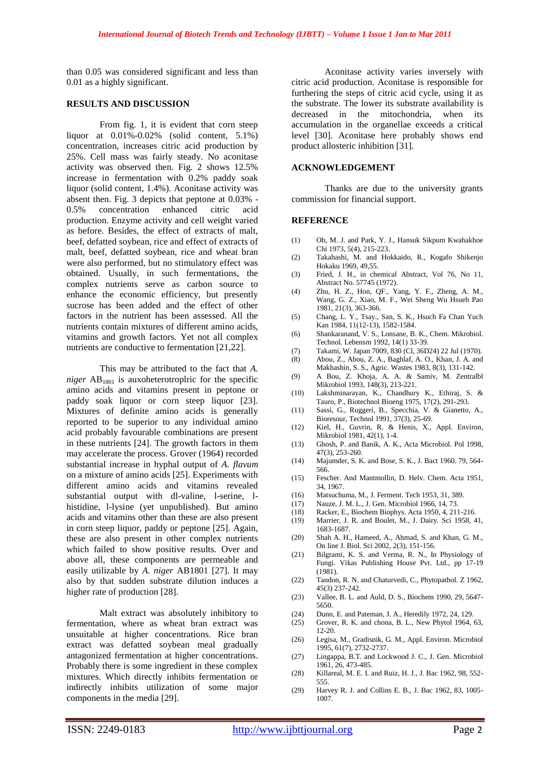than 0.05 was considered significant and less than 0.01 as a highly significant.

### **RESULTS AND DISCUSSION**

From fig. 1, it is evident that corn steep liquor at 0.01%-0.02% (solid content, 5.1%) concentration, increases citric acid production by 25%. Cell mass was fairly steady. No aconitase activity was observed then. Fig. 2 shows 12.5% increase in fermentation with 0.2% paddy soak liquor (solid content, 1.4%). Aconitase activity was absent then. Fig. 3 depicts that peptone at 0.03% - 0.5% concentration enhanced citric acid production. Enzyme activity and cell weight varied as before. Besides, the effect of extracts of malt, beef, defatted soybean, rice and effect of extracts of malt, beef, defatted soybean, rice and wheat bran were also performed, but no stimulatory effect was obtained. Usually, in such fermentations, the complex nutrients serve as carbon source to enhance the economic efficiency, but presently sucrose has been added and the effect of other factors in the nutrient has been assessed. All the nutrients contain mixtures of different amino acids, vitamins and growth factors. Yet not all complex nutrients are conductive to fermentation [21,22].

This may be attributed to the fact that *A. niger*  $AB_{1801}$  is auxoheterotroplric for the specific amino acids and vitamins present in peptone or paddy soak liquor or corn steep liquor [23]. Mixtures of definite amino acids is generally reported to be superior to any individual amino acid probably favourable combinations are present in these nutrients [24]. The growth factors in them may accelerate the process. Grover (1964) recorded substantial increase in hyphal output of *A. flavum* on a mixture of amino acids [25]. Experiments with different amino acids and vitamins revealed substantial output with dl-valine, l-serine, lhistidine, l-lysine (yet unpublished). But amino acids and vitamins other than these are also present in corn steep liquor, paddy or peptone [25]. Again, these are also present in other complex nutrients which failed to show positive results. Over and above all, these components are permeable and easily utilizable by *A. niger* AB1801 [27]. It may also by that sudden substrate dilution induces a higher rate of production [28].

Malt extract was absolutely inhibitory to fermentation, where as wheat bran extract was unsuitable at higher concentrations. Rice bran extract was defatted soybean meal gradually antagonized fermentation at higher concentrations. Probably there is some ingredient in these complex mixtures. Which directly inhibits fermentation or indirectly inhibits utilization of some major components in the media [29].

Aconitase activity varies inversely with citric acid production. Aconitase is responsible for furthering the steps of citric acid cycle, using it as the substrate. The lower its substrate availability is decreased in the mitochondria, when its accumulation in the organellae exceeds a critical level [30]. Aconitase here probably shows end product allosteric inhibition [31].

#### **ACKNOWLEDGEMENT**

Thanks are due to the university grants commission for financial support.

#### **REFERENCE**

- (1) Oh, M. J. and Park, Y. J., Hansuk Sikpum Kwahakhoe Chi 1973, 5(4), 215-223.
- (2) Takahashi, M. and Hokkaido, R., Kogafo Shikenjo Hokaku 1969, 49,55.
- (3) Fried, J. H., in chemical Abstract, Vol 76, No 11, Abstract No. 57745 (1972).
- (4) Zhu, H. Z., Hon, QF., Yang, Y. F., Zheng, A. M., Wang, G. Z., Xiao, M. F., Wei Sheng Wu Hsueh Pao 1981, 21(3), 363-366.
- (5) Chang, L. Y., Tsay., San, S. K., Hsuch Fa Chan Yuch Kan 1984, 11(12-13), 1582-1584.
- (6) Shankaranand, V. S., Lonsane, B. K., Chem. Mikrobiol. Technol. Lebensm 1992, 14(1) 33-39.
- (7) Takami, W. Japan 7009, 830 (Cl, 36D24) 22 Jul (1970).
- (8) Abou, Z., Abou, Z. A., Baghlaf, A. O., Khan, J. A. and Makhashin, S. S., Agric. Wastes 1983, 8(3), 131-142.
- (9) A Bou, Z. Khoja, A. A. & Samiv, M. Zentralbl Mikrobiol 1993, 148(3), 213-221.
- (10) Lakshminarayan, K., Chandhury K., Ethiraj, S. & Tauro, P., Biotechnol Bioeng 1975, 17(2), 291-293.
- (11) Sassi, G., Ruggeri, B., Specchia, V. & Gianetto, A., Bioresour, Technol 1991, 37(3), 25-69.
- (12) Kiel, H., Guvrin, R. & Henis, X., Appl. Environ, Mikrobiol 1981, 42(1), 1-4.
- (13) Ghosh, P. and Banik, A. K., Acta Microbiol. Pol 1998, 47(3), 253-260.
- (14) Majumder, S. K. and Bose, S. K., J. Bact 1960. 79, 564- 566.
- (15) Fescher. And Mantmollin, D. Helv. Chem. Acta 1951, 34, 1967.
- (16) Matsuchuma, M., J. Ferment. Tech 1953, 31, 389.
- (17) Nauze, J. M. L., J. Gen. Microbiol 1966, 14, 73.
- 
- (18) Racker, E., Biochem Biophys. Acta 1950, 4, 211-216. Marrier, J. R. and Boulet, M., J. Dairy. Sci 1958, 41, 1683-1687.
- (20) Shah A. H., Hameed, A., Ahmad, S. and Khan, G. M., On line J. Biol. Sci 2002, 2(3), 151-156.
- (21) Bilgrami, K. S. and Verma, R. N., In Physiology of Fungi. Vikas Publishing House Pvt. Ltd., pp 17-19 (1981).
- (22) Tandon, R. N. and Chaturvedi, C., Phytopathol. Z 1962, 45(3) 237-242.
- (23) Vallee, B. L. and Auld, D. S., Biochem 1990, 29, 5647- 5650.
- (24) Dunn, E. and Pateman, J. A., Heredily 1972, 24, 129.
- (25) Grover, R. K. and chona, B. L., New Phytol 1964, 63, 12-20.
- (26) Legisa, M., Gradisnik, G. M., Appl. Environ. Microbiol 1995, 61(7), 2732-2737.
- (27) Lingappa, B.T. and Lockwood J. C., J. Gen. Microbiol 1961, 26, 473-485.
- (28) Killareal, M. E. I. and Ruiz, H. J., J. Bac 1962, 98, 552- 555.
- (29) Harvey R. J. and Collins E. B., J. Bac 1962, 83, 1005- 1007.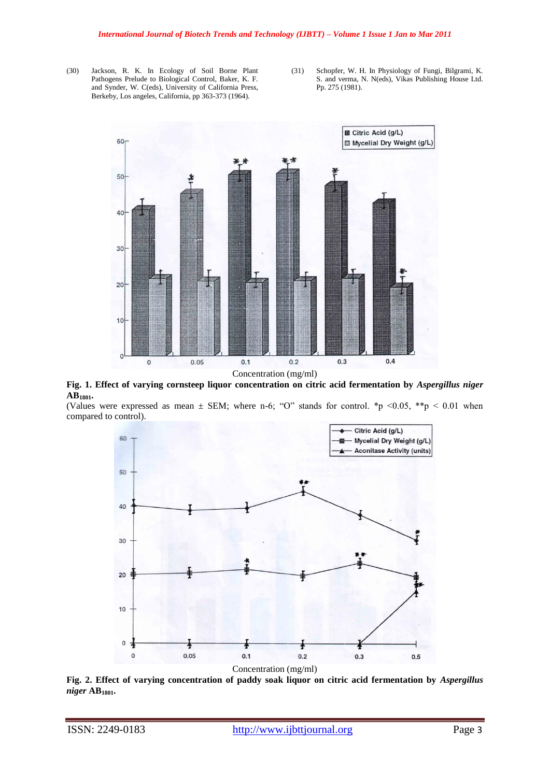- (30) Jackson, R. K. In Ecology of Soil Borne Plant Pathogens Prelude to Biological Control, Baker, K. F. and Synder, W. C(eds), University of California Press, Berkeby, Los angeles, California, pp 363-373 (1964).
- (31) Schopfer, W. H. In Physiology of Fungi, Bilgrami, K. S. and verma, N. N(eds), Vikas Publishing House Ltd. Pp. 275 (1981).



**Fig. 1. Effect of varying cornsteep liquor concentration on citric acid fermentation by** *Aspergillus niger*  **AB1801.**

(Values were expressed as mean  $\pm$  SEM; where n-6; "O" stands for control. \*p <0.05, \*\*p < 0.01 when compared to control).



**Fig. 2. Effect of varying concentration of paddy soak liquor on citric acid fermentation by** *Aspergillus niger* **AB1801.**